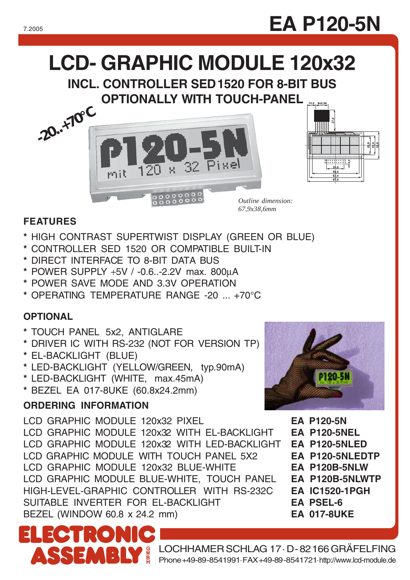## **LCD- GRAPHIC MODULE 120x32**

**INCL. CONTROLLER SED1520 FOR 8-BIT BUS OPTIONALLY WITH TOUCH-PANEL** 





*Outline dimension: 67,9x38,6mm*

#### **FEATURES**

- **\*** HIGH CONTRAST SUPERTWIST DISPLAY (GREEN OR BLUE)
- **\*** CONTROLLER SED 1520 OR COMPATIBLE BUILT-IN
- **\*** DIRECT INTERFACE TO 8-BIT DATA BUS
- **\*** POWER SUPPLY +5V / -0.6..-2.2V max. 800µA
- **\*** POWER SAVE MODE AND 3.3V OPERATION
- **\*** OPERATING TEMPERATURE RANGE -20 ... +70°C

#### **OPTIONAL**

- **\*** TOUCH PANEL 5x2, ANTIGLARE
- **\*** DRIVER IC WITH RS-232 (NOT FOR VERSION TP)
- **\*** EL-BACKLIGHT (BLUE)
- **\*** LED-BACKLIGHT (YELLOW/GREEN, typ.90mA)
- **\*** LED-BACKLIGHT (WHITE, max.45mA)
- **\*** BEZEL EA 017-8UKE (60.8x24.2mm)

#### **ORDERING INFORMATION**

 $\cdot$ io

**BLY** 

LCD GRAPHIC MODULE 120x32 PIXEL **EA P120-5N** LCD GRAPHIC MODULE 120x32 WITH EL-BACKLIGHT **EA P120-5NEL** LCD GRAPHIC MODULE 120x32 WITH LED-BACKLIGHT **EA P120-5NLED** LCD GRAPHIC MODULE WITH TOUCH PANEL 5X2 **EA P120-5NLEDTP** LCD GRAPHIC MODULE 120x32 BLUE-WHITE **EA P120B-5NLW** LCD GRAPHIC MODULE BLUE-WHITE, TOUCH PANEL **EA P120B-5NLWTP** HIGH-LEVEL-GRAPHIC CONTROLLER WITH RS-232C **EA IC1520-1PGH** SUITABLE INVERTER FOR EL-BACKLIGHT **EA PSEL-6** BEZEL (WINDOW 60.8 x 24.2 mm) **EA 017-8UKE**



- 
- 
- 
- 
- 
- 
- 
- 
- 

LOCHHAMER SCHLAG 17 · D-82166 GRÄFELFING Phone +49-89-8541991 · FAX +49-89-8541721 ·http://www.lcd-module.de

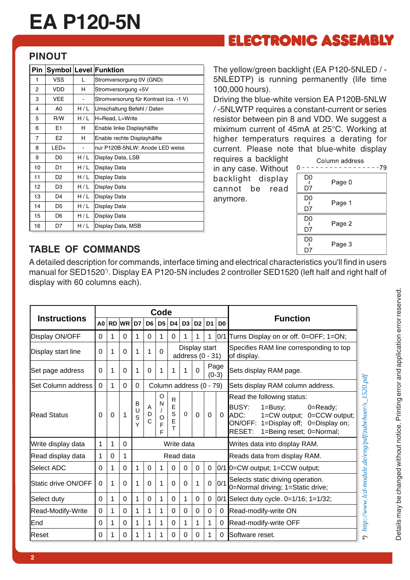# **EA P120-5N**

### **ELECTRONIC ASSEMBLY**

#### **PINOUT**

| Pin |                |     | <b>Symbol Level Funktion</b>           |  |  |  |  |
|-----|----------------|-----|----------------------------------------|--|--|--|--|
| 1   | <b>VSS</b>     | L   | Stromversorgung 0V (GND)               |  |  |  |  |
| 2   | VDD            | н   | Stromversorgung +5V                    |  |  |  |  |
| 3   | <b>VEE</b>     |     | Stromversorung für Kontrast (ca. -1 V) |  |  |  |  |
| 4   | A0             | H/L | Umschaltung Befehl / Daten             |  |  |  |  |
| 5   | R/W            | H/L | H=Read, L=Write                        |  |  |  |  |
| 6   | E1             | н   | Enable linke Displayhälfte             |  |  |  |  |
| 7   | E <sub>2</sub> | H   | Enable rechte Displayhälfte            |  |  |  |  |
| 8   | $LED+$         |     | nur P120B-5NLW: Anode LED weiss        |  |  |  |  |
| 9   | D <sub>0</sub> | H/L | Display Data, LSB                      |  |  |  |  |
| 10  | D1             | H/L | Display Data                           |  |  |  |  |
| 11  | D <sub>2</sub> | H/L | Display Data                           |  |  |  |  |
| 12  | D <sub>3</sub> | H/L | Display Data                           |  |  |  |  |
| 13  | D4             | H/L | Display Data                           |  |  |  |  |
| 14  | D <sub>5</sub> | H/L | Display Data                           |  |  |  |  |
| 15  | D <sub>6</sub> | H/L | Display Data                           |  |  |  |  |
| 16  | D7             | H/L | Display Data, MSB                      |  |  |  |  |

The yellow/green backlight (EA P120-5NLED / - 5NLEDTP) is running permanently (life time 100,000 hours).

Driving the blue-white version EA P120B-5NLW / -5NLWTP requires a constant-current or series resistor between pin 8 and VDD. We suggest a miximum current of 45mA at 25°C. Working at higher temperaturs requires a derating for current. Please note that blue-white display

requires a backlight in any case. Without backlight display cannot be read anymore.

|                      | Column address<br>-79 |
|----------------------|-----------------------|
| D0<br>D7             | Page 0                |
| D <sub>0</sub><br>D7 | Page 1                |
| D0<br>D7             | Page 2                |
| D0<br>D7             | Page 3                |

#### **TABLE OF COMMANDS**

A detailed description for commands, interface timing and electrical characteristics you'll find in users manual for SED1520\*). Display EA P120-5N includes 2 controller SED1520 (left half and right half of display with 60 columns each).

| <b>Instructions</b> |                                                                                   | Code        |                                  |                  |                        |                                           |                                   |                              |                |                |                |                                                                                                                                                                                                |  |
|---------------------|-----------------------------------------------------------------------------------|-------------|----------------------------------|------------------|------------------------|-------------------------------------------|-----------------------------------|------------------------------|----------------|----------------|----------------|------------------------------------------------------------------------------------------------------------------------------------------------------------------------------------------------|--|
|                     |                                                                                   |             | <b>RD WR D7</b>                  |                  | D <sub>6</sub>         | D <sub>5</sub>                            | D <sub>4</sub>                    | D3                           | D <sub>2</sub> | D <sub>1</sub> | D <sub>0</sub> | <b>Function</b>                                                                                                                                                                                |  |
| Display ON/OFF      |                                                                                   | 1           | $\Omega$                         | 1                | $\Omega$               | 1                                         | $\Omega$                          | 1                            | 1              | 1              | 0/1            | Turns Display on or off. 0=OFF; 1=ON;                                                                                                                                                          |  |
| Display start line  |                                                                                   | 1           | 0                                | 1                | 1                      | $\Omega$                                  | Display start<br>address (0 - 31) |                              |                |                |                | Specifies RAM line corresponding to top<br>of display.                                                                                                                                         |  |
| Set page address    | Page<br>1<br>$\Omega$<br>$\Omega$<br>$\Omega$<br>1<br>1<br>1<br>0<br>1<br>$(0-3)$ |             | Sets display RAM page.           |                  |                        |                                           |                                   |                              |                |                |                |                                                                                                                                                                                                |  |
| Set Column address  | Column address (0 - 79)<br>$\Omega$<br>1<br>$\Omega$<br>$\Omega$                  |             | Sets display RAM column address. |                  |                        |                                           |                                   |                              |                |                |                |                                                                                                                                                                                                |  |
| <b>Read Status</b>  | $\Omega$                                                                          | $\mathbf 0$ | 1                                | B<br>U<br>S<br>Y | A<br>D<br>$\mathsf{C}$ | O<br>N<br>$\sqrt{2}$<br>$\circ$<br>F<br>F | R<br>E<br>S<br>E<br>T             | $\Omega$                     | $\Omega$       | 0              | $\mathbf{0}$   | Read the following status:<br><b>BUSY:</b><br>$1 = Busy$ ;<br>$0 =$ Ready;<br>ADC:<br>1=CW output; 0=CCW output;<br>ON/OFF: 1=Display off; 0=Display on;<br>RESET:<br>1=Being reset; 0=Normal; |  |
| Write display data  | 1                                                                                 | 1           | $\Omega$                         | Write data       |                        |                                           |                                   |                              |                |                |                | Writes data into display RAM.                                                                                                                                                                  |  |
| Read display data   | 1                                                                                 | 0           | 1                                |                  | Read data              |                                           |                                   | Reads data from display RAM. |                |                |                |                                                                                                                                                                                                |  |
| Select ADC          | $\Omega$                                                                          | 1           | 0                                | 1                | $\mathbf 0$            | 1                                         | 0                                 | 0                            | 0              | 0              |                | 0/1 0=CW output; 1=CCW output;                                                                                                                                                                 |  |
| Static drive ON/OFF | $\Omega$                                                                          | 1           | $\Omega$                         | 1                | $\Omega$               | 1                                         | $\Omega$                          | $\Omega$                     | 1              | $\Omega$       | 0/1            | Selects static driving operation.<br>0=Normal driving; 1=Static drive;                                                                                                                         |  |
| Select duty         |                                                                                   | 1           | 0                                | 1                | $\Omega$               | 1                                         | $\Omega$                          | 1                            | $\Omega$       | $\Omega$       |                | 0/1 Select duty cycle. 0=1/16; 1=1/32;                                                                                                                                                         |  |
| Read-Modify-Write   | $\Omega$                                                                          | 1           | $\Omega$                         | 1                | 1                      | 1                                         | $\Omega$                          | 0                            | $\Omega$       | $\Omega$       | 0              | Read-modify-write ON                                                                                                                                                                           |  |
| End                 |                                                                                   | 1           | 0                                | 1                | 1                      | 1                                         | 0                                 | 1                            | 1              | 1              | 0              | Read-modify-write OFF                                                                                                                                                                          |  |
| Reset               | $\Omega$                                                                          | 1           | $\Omega$                         | 1                | 1                      | 1                                         | $\Omega$                          | 0                            | $\Omega$       | 1              | 0              | Software reset.                                                                                                                                                                                |  |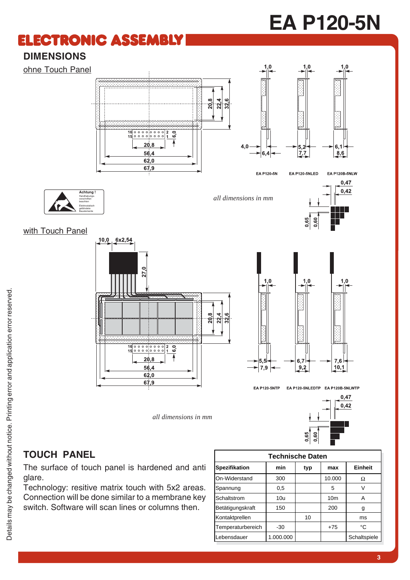# **EA P120-5N**

### **ELECTRONIC ASSEMBLY**

### **DIMENSIONS**

ohne Touch Panel





EA P120-5N

EA P120B-5NLW

*all dimensions in mm*





**Achtung !** Handhabungsvorschriften beachten Elektrostatisch gefährdete Bauelemente



*all dimensions in mm*



EA P120-5NLEDTP EA P120B-5NLWTP **EA P120-5NTP** 



### **TOUCH PANEL**

The surface of touch panel is hardened and anti glare.

Technology: resitive matrix touch with 5x2 areas. Connection will be done similar to a membrane key switch. Software will scan lines or columns then.

| <b>Technische Daten</b> |           |     |                 |              |  |  |  |  |  |  |
|-------------------------|-----------|-----|-----------------|--------------|--|--|--|--|--|--|
| Spezifikation           | min       | typ | max             | Einheit      |  |  |  |  |  |  |
| On-Widerstand           | 300       |     | 10.000          | Ω            |  |  |  |  |  |  |
| Spannung                | 0,5       |     | 5               |              |  |  |  |  |  |  |
| Schaltstrom             | 10u       |     | 10 <sub>m</sub> | A            |  |  |  |  |  |  |
| Betätigungskraft        | 150       |     | 200             | g            |  |  |  |  |  |  |
| Kontaktprellen          |           | 10  |                 | ms           |  |  |  |  |  |  |
| Temperaturbereich       | $-30$     |     | $+75$           | °C           |  |  |  |  |  |  |
| Lebensdauer             | 1.000.000 |     |                 | Schaltspiele |  |  |  |  |  |  |